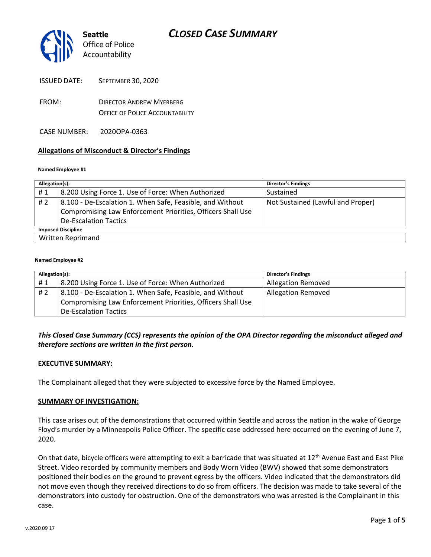

- FROM: DIRECTOR ANDREW MYERBERG OFFICE OF POLICE ACCOUNTABILITY
- CASE NUMBER: 2020OPA-0363

#### **Allegations of Misconduct & Director's Findings**

#### **Named Employee #1**

| Allegation(s):            |                                                             | <b>Director's Findings</b>        |  |
|---------------------------|-------------------------------------------------------------|-----------------------------------|--|
| #1                        | 8.200 Using Force 1. Use of Force: When Authorized          | Sustained                         |  |
| #2                        | 8.100 - De-Escalation 1. When Safe, Feasible, and Without   | Not Sustained (Lawful and Proper) |  |
|                           | Compromising Law Enforcement Priorities, Officers Shall Use |                                   |  |
|                           | <b>De-Escalation Tactics</b>                                |                                   |  |
| <b>Imposed Discipline</b> |                                                             |                                   |  |
| Written Reprimand         |                                                             |                                   |  |

#### **Named Employee #2**

| Allegation(s): |                                                             | <b>Director's Findings</b> |
|----------------|-------------------------------------------------------------|----------------------------|
| #1             | 8.200 Using Force 1. Use of Force: When Authorized          | <b>Allegation Removed</b>  |
| #2             | 8.100 - De-Escalation 1. When Safe, Feasible, and Without   | <b>Allegation Removed</b>  |
|                | Compromising Law Enforcement Priorities, Officers Shall Use |                            |
|                | <b>De-Escalation Tactics</b>                                |                            |

### *This Closed Case Summary (CCS) represents the opinion of the OPA Director regarding the misconduct alleged and therefore sections are written in the first person.*

#### **EXECUTIVE SUMMARY:**

The Complainant alleged that they were subjected to excessive force by the Named Employee.

#### **SUMMARY OF INVESTIGATION:**

This case arises out of the demonstrations that occurred within Seattle and across the nation in the wake of George Floyd's murder by a Minneapolis Police Officer. The specific case addressed here occurred on the evening of June 7, 2020.

On that date, bicycle officers were attempting to exit a barricade that was situated at 12<sup>th</sup> Avenue East and East Pike Street. Video recorded by community members and Body Worn Video (BWV) showed that some demonstrators positioned their bodies on the ground to prevent egress by the officers. Video indicated that the demonstrators did not move even though they received directions to do so from officers. The decision was made to take several of the demonstrators into custody for obstruction. One of the demonstrators who was arrested is the Complainant in this case.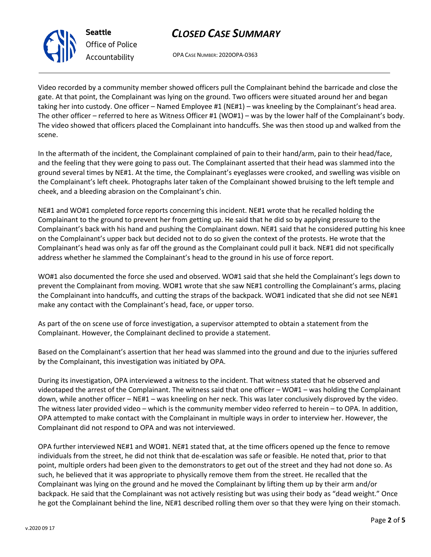## *CLOSED CASE SUMMARY*

OPA CASE NUMBER: 2020OPA-0363

Video recorded by a community member showed officers pull the Complainant behind the barricade and close the gate. At that point, the Complainant was lying on the ground. Two officers were situated around her and began taking her into custody. One officer – Named Employee #1 (NE#1) – was kneeling by the Complainant's head area. The other officer – referred to here as Witness Officer #1 (WO#1) – was by the lower half of the Complainant's body. The video showed that officers placed the Complainant into handcuffs. She was then stood up and walked from the scene.

In the aftermath of the incident, the Complainant complained of pain to their hand/arm, pain to their head/face, and the feeling that they were going to pass out. The Complainant asserted that their head was slammed into the ground several times by NE#1. At the time, the Complainant's eyeglasses were crooked, and swelling was visible on the Complainant's left cheek. Photographs later taken of the Complainant showed bruising to the left temple and cheek, and a bleeding abrasion on the Complainant's chin.

NE#1 and WO#1 completed force reports concerning this incident. NE#1 wrote that he recalled holding the Complainant to the ground to prevent her from getting up. He said that he did so by applying pressure to the Complainant's back with his hand and pushing the Complainant down. NE#1 said that he considered putting his knee on the Complainant's upper back but decided not to do so given the context of the protests. He wrote that the Complainant's head was only as far off the ground as the Complainant could pull it back. NE#1 did not specifically address whether he slammed the Complainant's head to the ground in his use of force report.

WO#1 also documented the force she used and observed. WO#1 said that she held the Complainant's legs down to prevent the Complainant from moving. WO#1 wrote that she saw NE#1 controlling the Complainant's arms, placing the Complainant into handcuffs, and cutting the straps of the backpack. WO#1 indicated that she did not see NE#1 make any contact with the Complainant's head, face, or upper torso.

As part of the on scene use of force investigation, a supervisor attempted to obtain a statement from the Complainant. However, the Complainant declined to provide a statement.

Based on the Complainant's assertion that her head was slammed into the ground and due to the injuries suffered by the Complainant, this investigation was initiated by OPA.

During its investigation, OPA interviewed a witness to the incident. That witness stated that he observed and videotaped the arrest of the Complainant. The witness said that one officer – WO#1 – was holding the Complainant down, while another officer – NE#1 – was kneeling on her neck. This was later conclusively disproved by the video. The witness later provided video – which is the community member video referred to herein – to OPA. In addition, OPA attempted to make contact with the Complainant in multiple ways in order to interview her. However, the Complainant did not respond to OPA and was not interviewed.

OPA further interviewed NE#1 and WO#1. NE#1 stated that, at the time officers opened up the fence to remove individuals from the street, he did not think that de-escalation was safe or feasible. He noted that, prior to that point, multiple orders had been given to the demonstrators to get out of the street and they had not done so. As such, he believed that it was appropriate to physically remove them from the street. He recalled that the Complainant was lying on the ground and he moved the Complainant by lifting them up by their arm and/or backpack. He said that the Complainant was not actively resisting but was using their body as "dead weight." Once he got the Complainant behind the line, NE#1 described rolling them over so that they were lying on their stomach.



*Office of Police Accountability*

**Seattle**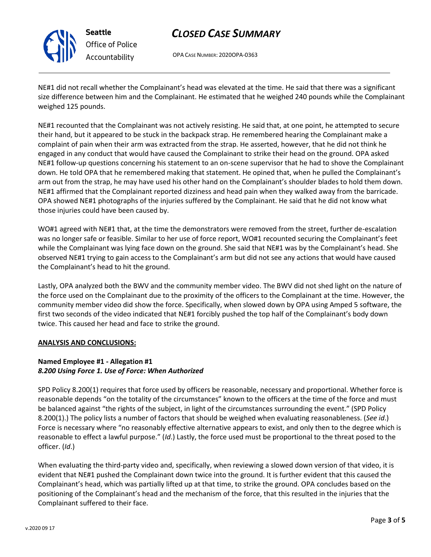

**Seattle** *Office of Police Accountability*

# *CLOSED CASE SUMMARY*

OPA CASE NUMBER: 2020OPA-0363

NE#1 did not recall whether the Complainant's head was elevated at the time. He said that there was a significant size difference between him and the Complainant. He estimated that he weighed 240 pounds while the Complainant weighed 125 pounds.

NE#1 recounted that the Complainant was not actively resisting. He said that, at one point, he attempted to secure their hand, but it appeared to be stuck in the backpack strap. He remembered hearing the Complainant make a complaint of pain when their arm was extracted from the strap. He asserted, however, that he did not think he engaged in any conduct that would have caused the Complainant to strike their head on the ground. OPA asked NE#1 follow-up questions concerning his statement to an on-scene supervisor that he had to shove the Complainant down. He told OPA that he remembered making that statement. He opined that, when he pulled the Complainant's arm out from the strap, he may have used his other hand on the Complainant's shoulder blades to hold them down. NE#1 affirmed that the Complainant reported dizziness and head pain when they walked away from the barricade. OPA showed NE#1 photographs of the injuries suffered by the Complainant. He said that he did not know what those injuries could have been caused by.

WO#1 agreed with NE#1 that, at the time the demonstrators were removed from the street, further de-escalation was no longer safe or feasible. Similar to her use of force report, WO#1 recounted securing the Complainant's feet while the Complainant was lying face down on the ground. She said that NE#1 was by the Complainant's head. She observed NE#1 trying to gain access to the Complainant's arm but did not see any actions that would have caused the Complainant's head to hit the ground.

Lastly, OPA analyzed both the BWV and the community member video. The BWV did not shed light on the nature of the force used on the Complainant due to the proximity of the officers to the Complainant at the time. However, the community member video did show the force. Specifically, when slowed down by OPA using Amped 5 software, the first two seconds of the video indicated that NE#1 forcibly pushed the top half of the Complainant's body down twice. This caused her head and face to strike the ground.

### **ANALYSIS AND CONCLUSIONS:**

### **Named Employee #1 - Allegation #1** *8.200 Using Force 1. Use of Force: When Authorized*

SPD Policy 8.200(1) requires that force used by officers be reasonable, necessary and proportional. Whether force is reasonable depends "on the totality of the circumstances" known to the officers at the time of the force and must be balanced against "the rights of the subject, in light of the circumstances surrounding the event." (SPD Policy 8.200(1).) The policy lists a number of factors that should be weighed when evaluating reasonableness. (*See id*.) Force is necessary where "no reasonably effective alternative appears to exist, and only then to the degree which is reasonable to effect a lawful purpose." (*Id*.) Lastly, the force used must be proportional to the threat posed to the officer. (*Id*.)

When evaluating the third-party video and, specifically, when reviewing a slowed down version of that video, it is evident that NE#1 pushed the Complainant down twice into the ground. It is further evident that this caused the Complainant's head, which was partially lifted up at that time, to strike the ground. OPA concludes based on the positioning of the Complainant's head and the mechanism of the force, that this resulted in the injuries that the Complainant suffered to their face.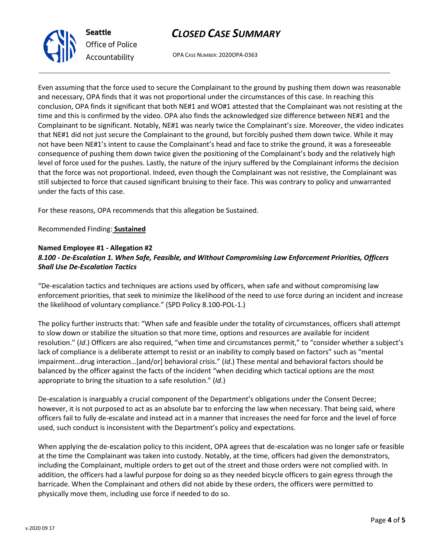# *CLOSED CASE SUMMARY*

OPA CASE NUMBER: 2020OPA-0363

Even assuming that the force used to secure the Complainant to the ground by pushing them down was reasonable and necessary, OPA finds that it was not proportional under the circumstances of this case. In reaching this conclusion, OPA finds it significant that both NE#1 and WO#1 attested that the Complainant was not resisting at the time and this is confirmed by the video. OPA also finds the acknowledged size difference between NE#1 and the Complainant to be significant. Notably, NE#1 was nearly twice the Complainant's size. Moreover, the video indicates that NE#1 did not just secure the Complainant to the ground, but forcibly pushed them down twice. While it may not have been NE#1's intent to cause the Complainant's head and face to strike the ground, it was a foreseeable consequence of pushing them down twice given the positioning of the Complainant's body and the relatively high level of force used for the pushes. Lastly, the nature of the injury suffered by the Complainant informs the decision that the force was not proportional. Indeed, even though the Complainant was not resistive, the Complainant was still subjected to force that caused significant bruising to their face. This was contrary to policy and unwarranted under the facts of this case.

For these reasons, OPA recommends that this allegation be Sustained.

Recommended Finding: **Sustained**

#### **Named Employee #1 - Allegation #2** *8.100 - De-Escalation 1. When Safe, Feasible, and Without Compromising Law Enforcement Priorities, Officers Shall Use De-Escalation Tactics*

"De-escalation tactics and techniques are actions used by officers, when safe and without compromising law enforcement priorities, that seek to minimize the likelihood of the need to use force during an incident and increase the likelihood of voluntary compliance." (SPD Policy 8.100-POL-1.)

The policy further instructs that: "When safe and feasible under the totality of circumstances, officers shall attempt to slow down or stabilize the situation so that more time, options and resources are available for incident resolution." (*Id*.) Officers are also required, "when time and circumstances permit," to "consider whether a subject's lack of compliance is a deliberate attempt to resist or an inability to comply based on factors" such as "mental impairment…drug interaction…[and/or] behavioral crisis." (*Id*.) These mental and behavioral factors should be balanced by the officer against the facts of the incident "when deciding which tactical options are the most appropriate to bring the situation to a safe resolution." (*Id*.)

De-escalation is inarguably a crucial component of the Department's obligations under the Consent Decree; however, it is not purposed to act as an absolute bar to enforcing the law when necessary. That being said, where officers fail to fully de-escalate and instead act in a manner that increases the need for force and the level of force used, such conduct is inconsistent with the Department's policy and expectations.

When applying the de-escalation policy to this incident, OPA agrees that de-escalation was no longer safe or feasible at the time the Complainant was taken into custody. Notably, at the time, officers had given the demonstrators, including the Complainant, multiple orders to get out of the street and those orders were not complied with. In addition, the officers had a lawful purpose for doing so as they needed bicycle officers to gain egress through the barricade. When the Complainant and others did not abide by these orders, the officers were permitted to physically move them, including use force if needed to do so.



**Seattle**

*Office of Police Accountability*